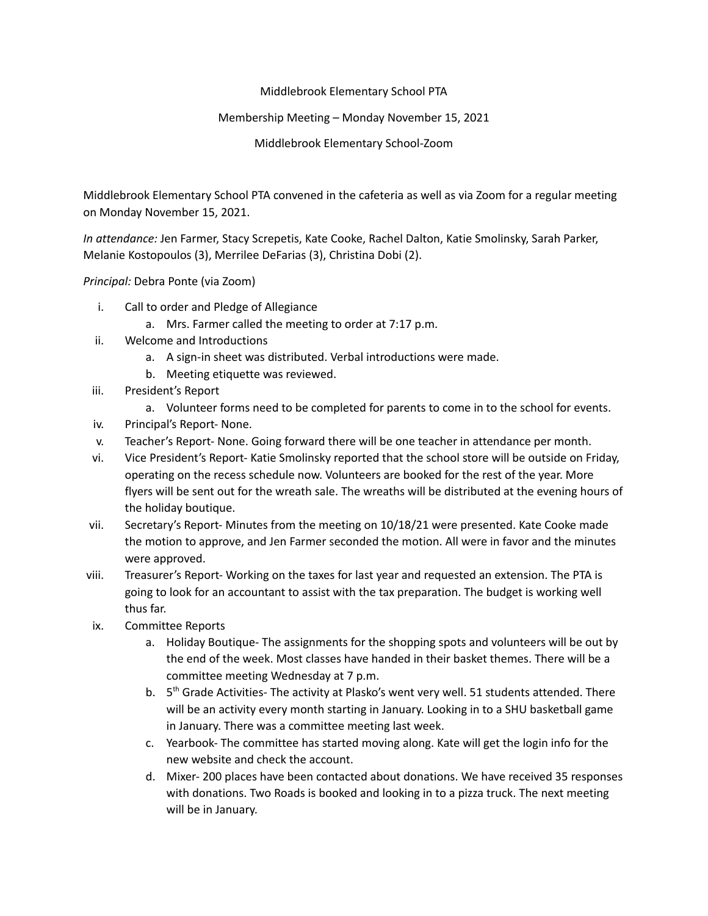## Middlebrook Elementary School PTA

## Membership Meeting – Monday November 15, 2021

Middlebrook Elementary School-Zoom

Middlebrook Elementary School PTA convened in the cafeteria as well as via Zoom for a regular meeting on Monday November 15, 2021.

*In attendance:* Jen Farmer, Stacy Screpetis, Kate Cooke, Rachel Dalton, Katie Smolinsky, Sarah Parker, Melanie Kostopoulos (3), Merrilee DeFarias (3), Christina Dobi (2).

*Principal:* Debra Ponte (via Zoom)

- i. Call to order and Pledge of Allegiance
	- a. Mrs. Farmer called the meeting to order at 7:17 p.m.
- ii. Welcome and Introductions
	- a. A sign-in sheet was distributed. Verbal introductions were made.
	- b. Meeting etiquette was reviewed.
- iii. President's Report
	- a. Volunteer forms need to be completed for parents to come in to the school for events.
- iv. Principal's Report- None.
- v. Teacher's Report- None. Going forward there will be one teacher in attendance per month.
- vi. Vice President's Report- Katie Smolinsky reported that the school store will be outside on Friday, operating on the recess schedule now. Volunteers are booked for the rest of the year. More flyers will be sent out for the wreath sale. The wreaths will be distributed at the evening hours of the holiday boutique.
- vii. Secretary's Report- Minutes from the meeting on 10/18/21 were presented. Kate Cooke made the motion to approve, and Jen Farmer seconded the motion. All were in favor and the minutes were approved.
- viii. Treasurer's Report- Working on the taxes for last year and requested an extension. The PTA is going to look for an accountant to assist with the tax preparation. The budget is working well thus far.
- ix. Committee Reports
	- a. Holiday Boutique- The assignments for the shopping spots and volunteers will be out by the end of the week. Most classes have handed in their basket themes. There will be a committee meeting Wednesday at 7 p.m.
	- b. 5<sup>th</sup> Grade Activities- The activity at Plasko's went very well. 51 students attended. There will be an activity every month starting in January. Looking in to a SHU basketball game in January. There was a committee meeting last week.
	- c. Yearbook- The committee has started moving along. Kate will get the login info for the new website and check the account.
	- d. Mixer- 200 places have been contacted about donations. We have received 35 responses with donations. Two Roads is booked and looking in to a pizza truck. The next meeting will be in January.